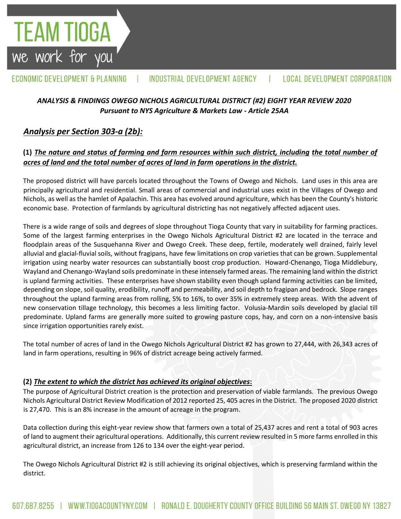#### ECONOMIC DEVELOPMENT & PLANNING INDUSTRIAL DEVELOPMENT AGENCY **LOCAL DEVELOPMENT CORPORATION**

## *ANALYSIS & FINDINGS OWEGO NICHOLS AGRICULTURAL DISTRICT (#2) EIGHT YEAR REVIEW 2020 Pursuant to NYS Agriculture & Markets Law - Article 25AA*

# *Analysis per Section 303-a (2b):*

**TEAM TIOGA**<br>we work for you

## **(1)** *The nature and status of farming and farm resources within such district, including the total number of acres of land and the total number of acres of land in farm operations in the district.*

The proposed district will have parcels located throughout the Towns of Owego and Nichols. Land uses in this area are principally agricultural and residential. Small areas of commercial and industrial uses exist in the Villages of Owego and Nichols, as well as the hamlet of Apalachin. This area has evolved around agriculture, which has been the County's historic economic base. Protection of farmlands by agricultural districting has not negatively affected adjacent uses.

There is a wide range of soils and degrees of slope throughout Tioga County that vary in suitability for farming practices. Some of the largest farming enterprises in the Owego Nichols Agricultural District #2 are located in the terrace and floodplain areas of the Susquehanna River and Owego Creek. These deep, fertile, moderately well drained, fairly level alluvial and glacial-fluvial soils, without fragipans, have few limitations on crop varieties that can be grown. Supplemental irrigation using nearby water resources can substantially boost crop production. Howard-Chenango, Tioga Middlebury, Wayland and Chenango-Wayland soils predominate in these intensely farmed areas. The remaining land within the district is upland farming activities. These enterprises have shown stability even though upland farming activities can be limited, depending on slope, soil quality, erodibility, runoff and permeability, and soil depth to fragipan and bedrock. Slope ranges throughout the upland farming areas from rolling, 5% to 16%, to over 35% in extremely steep areas. With the advent of new conservation tillage technology, this becomes a less limiting factor. Volusia-Mardin soils developed by glacial till predominate. Upland farms are generally more suited to growing pasture cops, hay, and corn on a non-intensive basis since irrigation opportunities rarely exist.

The total number of acres of land in the Owego Nichols Agricultural District #2 has grown to 27,444, with 26,343 acres of land in farm operations, resulting in 96% of district acreage being actively farmed.

### **(2)** *The extent to which the district has achieved its original objectives***:**

The purpose of Agricultural District creation is the protection and preservation of viable farmlands. The previous Owego Nichols Agricultural District Review Modification of 2012 reported 25, 405 acres in the District. The proposed 2020 district is 27,470. This is an 8% increase in the amount of acreage in the program.

Data collection during this eight-year review show that farmers own a total of 25,437 acres and rent a total of 903 acres of land to augment their agricultural operations. Additionally, this current review resulted in 5 more farms enrolled in this agricultural district, an increase from 126 to 134 over the eight-year period.

The Owego Nichols Agricultural District #2 is still achieving its original objectives, which is preserving farmland within the district.